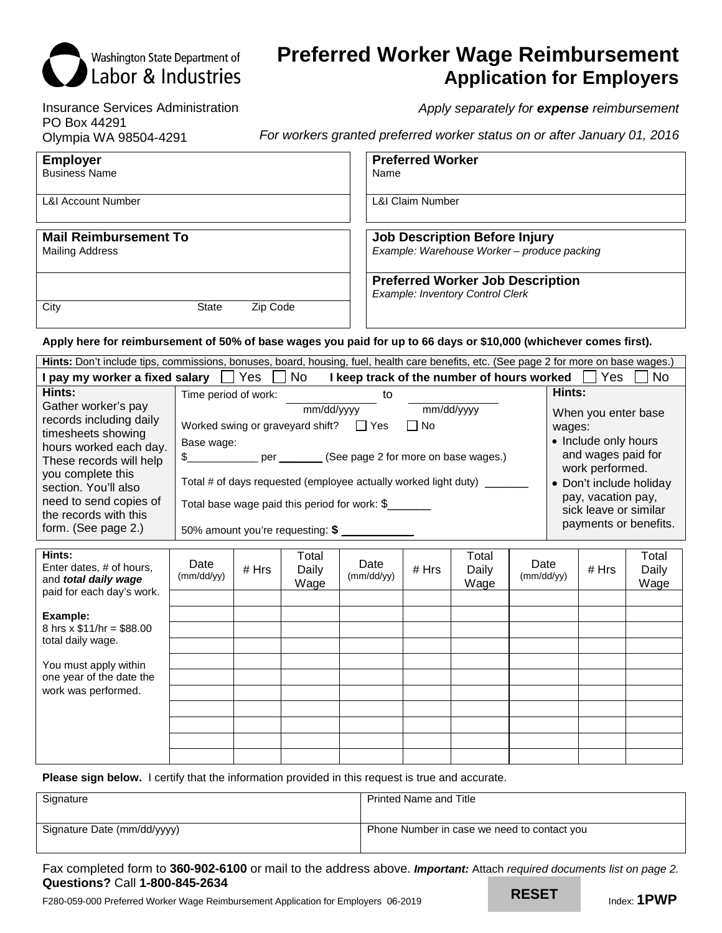# **Preferred Worker Wage Reimbursement Application for Employers**

Insurance Services Administration *Apply separately for expense reimbursement*  PO Box 44291 Olympia WA 98504-4291 *For workers granted preferred worker status on or after January 01, 2016* 

Washington State Department of **Labor & Industries** 

| <b>Employer</b>                  | <b>Preferred Worker</b>                                                            |
|----------------------------------|------------------------------------------------------------------------------------|
| <b>Business Name</b>             | Name                                                                               |
| <b>L&amp;I Account Number</b>    | <b>L&amp;I Claim Number</b>                                                        |
| <b>Mail Reimbursement To</b>     | <b>Job Description Before Injury</b>                                               |
| <b>Mailing Address</b>           | Example: Warehouse Worker - produce packing                                        |
| City<br>Zip Code<br><b>State</b> | <b>Preferred Worker Job Description</b><br><b>Example: Inventory Control Clerk</b> |

 **Apply here for reimbursement of 50% of base wages you paid for up to 66 days or \$10,000 (whichever comes first).** 

| Hints: Don't include tips, commissions, bonuses, board, housing, fuel, health care benefits, etc. (See page 2 for more on base wages.)                                                                                                           |                                                                                                                                                                                                                                                                                                                                                                                                                                                                                                                                        |       |                        |                    |       |                        |                    |        |       |                        |
|--------------------------------------------------------------------------------------------------------------------------------------------------------------------------------------------------------------------------------------------------|----------------------------------------------------------------------------------------------------------------------------------------------------------------------------------------------------------------------------------------------------------------------------------------------------------------------------------------------------------------------------------------------------------------------------------------------------------------------------------------------------------------------------------------|-------|------------------------|--------------------|-------|------------------------|--------------------|--------|-------|------------------------|
| I pay my worker a fixed salary TYes [<br>No l<br>I keep track of the number of hours worked<br>Yes<br>No.                                                                                                                                        |                                                                                                                                                                                                                                                                                                                                                                                                                                                                                                                                        |       |                        |                    |       |                        |                    |        |       |                        |
| Hints:                                                                                                                                                                                                                                           | Time period of work:                                                                                                                                                                                                                                                                                                                                                                                                                                                                                                                   |       |                        | to                 |       |                        |                    | Hints: |       |                        |
| Gather worker's pay<br>records including daily<br>timesheets showing<br>hours worked each day.<br>These records will help<br>you complete this<br>section. You'll also<br>need to send copies of<br>the records with this<br>form. (See page 2.) | mm/dd/yyyy<br>mm/dd/yyyy<br>When you enter base<br>Worked swing or graveyard shift? $\Box$ Yes<br>$\Box$ No<br>wages:<br>• Include only hours<br>Base wage:<br>and wages paid for<br>\$_______________ per ________ (See page 2 for more on base wages.)<br>work performed.<br>Total # of days requested (employee actually worked light duty)<br>• Don't include holiday<br>pay, vacation pay,<br>Total base wage paid this period for work: \$<br>sick leave or similar<br>payments or benefits.<br>50% amount you're requesting: \$ |       |                        |                    |       |                        |                    |        |       |                        |
| Hints:<br>Enter dates, # of hours,<br>and total daily wage<br>paid for each day's work.                                                                                                                                                          | Date<br>(mm/dd/yy)                                                                                                                                                                                                                                                                                                                                                                                                                                                                                                                     | # Hrs | Total<br>Daily<br>Wage | Date<br>(mm/dd/yy) | # Hrs | Total<br>Daily<br>Wage | Date<br>(mm/dd/yy) |        | # Hrs | Total<br>Daily<br>Wage |
| Example:<br>8 hrs $\times$ \$11/hr = \$88.00<br>total daily wage.                                                                                                                                                                                |                                                                                                                                                                                                                                                                                                                                                                                                                                                                                                                                        |       |                        |                    |       |                        |                    |        |       |                        |
| You must apply within<br>one year of the date the<br>work was performed.                                                                                                                                                                         |                                                                                                                                                                                                                                                                                                                                                                                                                                                                                                                                        |       |                        |                    |       |                        |                    |        |       |                        |
|                                                                                                                                                                                                                                                  |                                                                                                                                                                                                                                                                                                                                                                                                                                                                                                                                        |       |                        |                    |       |                        |                    |        |       |                        |

**Please sign below.** I certify that the information provided in this request is true and accurate.

| Signature                   | <b>Printed Name and Title</b>               |
|-----------------------------|---------------------------------------------|
| Signature Date (mm/dd/yyyy) | Phone Number in case we need to contact you |

Fax completed form to **360-902-6100** or mail to the address above. *Important:* Attach *required documents list on page 2.*  **Questions?** Call **1-800-845-2634** 

F280-059-000 Preferred Worker Wage Reimbursement Application for Employers 06-2019 **INDEDEI Index: 1PWP**